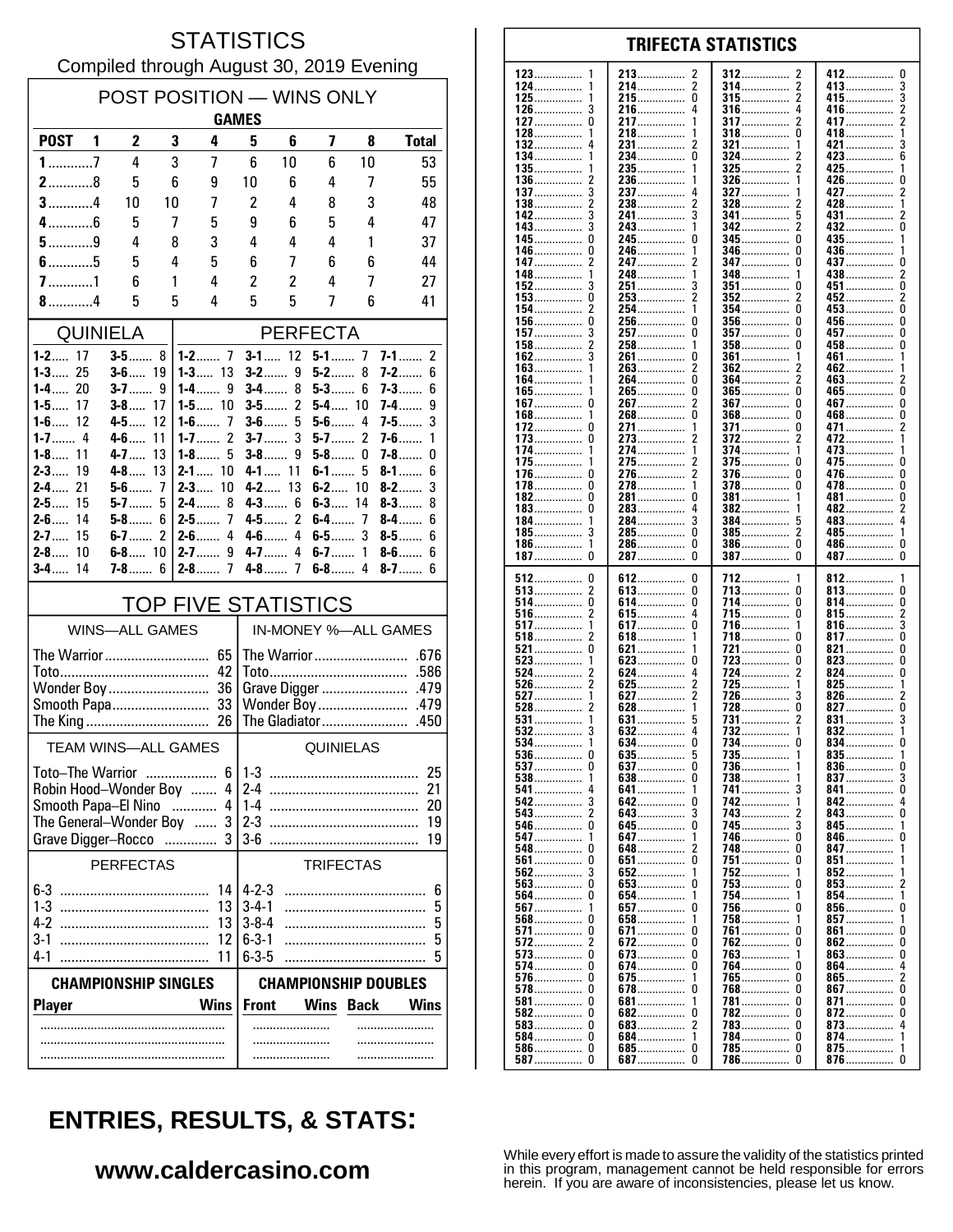#### **STATISTICS** Compiled through August 30, 2019 Evening

| POST POSITION - WINS ONLY<br><b>GAMES</b>                    |                       |                     |          |                                                    |                              |                                       |                  |             |                            |  |  |
|--------------------------------------------------------------|-----------------------|---------------------|----------|----------------------------------------------------|------------------------------|---------------------------------------|------------------|-------------|----------------------------|--|--|
| <b>POST</b>                                                  | 1                     | $\mathbf{2}$        | 3        | 4                                                  | 5                            | 6                                     | 7                | 8           | <b>Total</b>               |  |  |
| $1$ 7                                                        |                       | 4                   | 3        | 7                                                  | 6                            | 10                                    | 6                | 10          | 53                         |  |  |
| $2$ 8                                                        |                       | 5                   | 6        | 9                                                  | 10                           | 6                                     | 4                | 7           | 55                         |  |  |
| $3$ 4                                                        |                       | 10                  | 10       | 7                                                  | $\overline{c}$               | 4                                     | 8                | 3           | 48                         |  |  |
| $4$ 6<br>$5$ 9                                               |                       | 5                   | 7        | 5                                                  | 9<br>4                       | 6                                     | 5<br>4           | 4           | 47                         |  |  |
| $6$ 5                                                        |                       | 4<br>5              | 8<br>4   | 3<br>5                                             | 6                            | 4<br>7                                | 6                | 1<br>6      | 37<br>44                   |  |  |
| $7$ 1                                                        |                       | 6                   | 1        | 4                                                  | $\overline{c}$               | 2                                     | 4                | 7           | 27                         |  |  |
| $8$ 4                                                        |                       | 5                   | 5        | 4                                                  | 5                            | 5                                     | 7                | 6           | 41                         |  |  |
| <b>QUINIELA</b>                                              |                       |                     |          | <b>PERFECTA</b>                                    |                              |                                       |                  |             |                            |  |  |
| $1 - 2$ 17                                                   |                       | $3 - 5$ 8           |          | $3 - 1$ 12<br>$7-1$<br>$\overline{2}$<br>$5 - 1$ 7 |                              |                                       |                  |             |                            |  |  |
| 25<br>$1 - 3$<br>$1-4$<br>20                                 |                       | $3 - 6$ 19<br>$3-7$ |          | $1 - 3$ 13<br>$1-4$                                |                              | $3-2$<br>9<br>8                       | $5-2$<br>$5-3$   | 8           | $7-2$<br>6                 |  |  |
| $1-5$<br>17                                                  |                       | <b>3-8</b> 17       | 9        | 9<br>$1 - 5$ 10                                    |                              | $3-4$<br>2<br>$3-5$                   | <b>5-4</b> 10    | 6           | $7-3$<br>6<br>7-4……<br>9   |  |  |
| $1 - 6$ 12                                                   |                       | 4-5……               | 12       | $1 - 6$<br>7                                       |                              | $3-6$<br>5                            | $5-6$            | 4           | 3<br>7-5……                 |  |  |
| $1 - 8$<br>11                                                |                       | $4-6$<br>$4 - 7$    | 11<br>13 | 2<br>$1 - 7$<br>$1-8$<br>5                         |                              | $3-7$<br>3<br>$3-8$<br>9              | $5-7$<br>$5-8$   | 2<br>0      | $7-6$<br>1<br>$7-8$<br>0   |  |  |
| $2 - 3$<br>19                                                |                       | $4-8$               | 13       | $2 - 1$<br>10                                      |                              | $4 - 1$<br>11                         | $6-1$            | 5           | $8 - 1$<br>6               |  |  |
| $2 - 4$<br>21                                                |                       | $5-6$               | 7        | $2 - 3$<br>10                                      | $4-2$                        | 13                                    | $6-2$            | 10          | 3<br>$8-2$                 |  |  |
| $2 - 5$<br>15<br>$2 - 6$<br>14                               |                       | $5-7$<br>$5-8$      | 5<br>6   | $2-4$<br>8<br>$\overline{1}$<br>$2 - 5$            |                              | $4-3$<br>6<br>$\overline{c}$<br>$4-5$ | $6-3$<br>6-4……   | 14<br>7     | $8 - 3$<br>8<br>$8-4$<br>6 |  |  |
| $2 - 7$<br>15                                                |                       | 6-7……               | 2        | $2-6$<br>4                                         |                              | $4 - 6$<br>4                          | 6-5……            | 3           | $8-5$<br>6                 |  |  |
| $2 - 8$<br>10                                                |                       | 6-8 10              |          | $2 - 7$<br>9                                       |                              | $4 - 7$<br>4                          | $6-7$            | 1           | $8-6$<br>6                 |  |  |
| 14<br>$3-4$                                                  |                       | $7 - 8$ 6           |          | $2-8$<br>7                                         |                              |                                       | $6 - 8$ 4        |             | $8-7$<br>6                 |  |  |
|                                                              |                       |                     |          | <b>TOP FIVE STATISTICS</b>                         |                              |                                       |                  |             |                            |  |  |
|                                                              | <b>WINS-ALL GAMES</b> |                     |          |                                                    |                              | IN-MONEY %-ALL GAMES                  |                  |             |                            |  |  |
|                                                              |                       |                     |          |                                                    |                              |                                       |                  |             |                            |  |  |
|                                                              |                       |                     |          | 42                                                 | .586<br>Grave Digger<br>.479 |                                       |                  |             |                            |  |  |
| Wonder Boy  36<br>Smooth Papa 33                             |                       |                     |          | Wonder Boy<br>.479                                 |                              |                                       |                  |             |                            |  |  |
| The King                                                     |                       |                     |          | 26                                                 |                              | The Gladiator                         |                  |             | .450                       |  |  |
| <b>TEAM WINS-ALL GAMES</b>                                   |                       |                     |          |                                                    | <b>QUINIELAS</b>             |                                       |                  |             |                            |  |  |
| <b>Toto-The Warrior</b>                                      |                       |                     |          | հ                                                  | $1-3$                        |                                       |                  |             | 25                         |  |  |
| Robin Hood-Wonder Boy  4                                     |                       |                     |          |                                                    | $2-4$                        |                                       |                  |             | 21                         |  |  |
| Smooth Papa-El Nino<br>4<br>.<br>The General-Wonder Boy<br>3 |                       |                     |          | $1-4$<br>20<br>$2-3$<br>19                         |                              |                                       |                  |             |                            |  |  |
| Grave Digger-Rocco                                           |                       |                     |          | 3<br>.                                             | 36                           |                                       |                  |             | 19                         |  |  |
|                                                              | <b>PERFECTAS</b>      |                     |          |                                                    |                              |                                       | <b>TRIFECTAS</b> |             |                            |  |  |
|                                                              |                       |                     |          | 14                                                 | $4 - 2 - 3$                  |                                       |                  |             | 6                          |  |  |
| $1-3$<br>4-2                                                 |                       |                     |          | 13                                                 | $3 - 4 - 1$<br>$3 - 8 - 4$   |                                       |                  |             | 5                          |  |  |
| $3-1$                                                        |                       |                     |          | 13<br>12                                           | $6 - 3 - 1$                  |                                       |                  |             | 5<br>5                     |  |  |
| $4-1$                                                        |                       |                     |          | 11                                                 | $6 - 3 - 5$                  |                                       |                  |             | 5                          |  |  |
| <b>CHAMPIONSHIP SINGLES</b>                                  |                       |                     |          | <b>CHAMPIONSHIP DOUBLES</b>                        |                              |                                       |                  |             |                            |  |  |
| <b>Player</b>                                                |                       |                     |          | <b>Wins</b>                                        | <b>Front</b>                 |                                       | <b>Wins</b>      | <b>Back</b> | <b>Wins</b>                |  |  |
|                                                              |                       |                     |          |                                                    |                              | .                                     |                  |             |                            |  |  |
|                                                              |                       |                     |          |                                                    |                              |                                       |                  |             |                            |  |  |

#### 123 213 412  $\mathbf{0}$ 2 312 124 214................  $\overline{2}$ 314 413 3 . . . . . . . . . . . . . . .  $\pmb{0}$  $\overline{\mathbf{c}}$ 3 125 215 315 415. . . . . . . . . . . . . . . . . . . . . . . . . . . . . . . . . . . . . . . . . . . . . . . . . . . . . . . . . . 126  $\mathbf{3}$ 216 4 316 4 416  $\overline{2}$ .............. . . . . . . . . . . . . . . . 127  $\Omega$ 217  $\mathbf{1}$ 317 2 417  $\overline{2}$ . . . . . . . . . . . . . . . . . . . . . . . . . . . . . . . . . . . . . 128 218 318  $\Omega$ 418  $\overline{1}$ 132 231................ 321  $421...$ 3 2 1  $\Omega$  $6\overline{6}$ 134 234. 324 423 . . . . . . . . . . . . . . . 135 235. 325 425 136 236 326 426 0 . . . . . . . . . . . . . . . . . . . . . . . . . . . . . . . . . . . . . . . . . . . . 137  $\mathbf{3}$ 237 327 427  $\overline{\phantom{a}}$ 4 138  $\overline{2}$ 238  $\overline{\phantom{a}}$ 328 428 . . . . . . . . . . . 142  $\overline{3}$ 241................  $\overline{\mathbf{3}}$ 5 341 431 2  $143.$  $\overline{3}$  $342$ 2  $432...$ ō  $\mathbf{1}$ . . . . . . . . . .  $\mathbf{0}$ 245  $\mathbf 0$ 345  $\mathbf{0}$ 435 145 -1 0 436 146 246 346 . . . . . . . . . . . . . . . . . . . . . . . . . . . . . . . . . . . . . . . . 147  $\overline{2}$ 247 347  $\Omega$ 437  $\Omega$ . . . . . . . . . . . . . . . . . . . . . . . . . . . . . . . . . . . . . . . . . . 148 248 348 438  $\boldsymbol{2}$ . . . . . . . . . . . . . . . .............. . . . . . . . . 152 3 251 3 351 451 0 n ........... . . . . . . . . . . . . . 153  $\Omega$ 253  $\mathcal{P}$ 352 2 452  $\mathfrak{p}$  $\overline{2}$ õ 154 254  $\Omega$  $453...$ 1 354 156.  $\mathbf 0$  $\mathbf 0$  $\mathbf 0$ 256 356  $\Omega$  $456...$ ŏ 157 257  $\Omega$ 357 457 . . . . . . . . . . . . . . . . . . . . . . . . . . . . 458...............  $\pmb{0}$ 158 258 358  $\Omega$ . . . . . . . . . . . . . . . .............. . . . . . . . . . . . . . . . . 162 3 261  $\Omega$ 361 461 1 . . . . . . . . . . . . . . . . . . . . . . . . . . . . . 163 263  $\overline{\phantom{a}}$ 362 462 . . . . . . . . . . . . . . . . . . . . . . . . . ő 164 264 364 2 463. 2 265.................. ō 165................ Ō  $365$ .................. ō  $465$  $\overline{2}$  $\mathbf{0}$  $\mathbf 0$  $\mathbf 0$ 267. 367  $467...$ 167. . . . . . . . . . . . . . . . . . . . . . . . .  $\overline{0}$ Ō Ō 168 268 368 468 . . . . . . . . . . . . . . . . . . . . . . . . . . . . . . . . . . . . . . . . . . . 172  $\mathbf 0$ 271. 371................ 0 471.....  $\boldsymbol{2}$ . . . . . . . . . . . . . . . . . . . . . . . . . 273 372 173 0 472 . . . . . . . . . . . . . . . . . . . . . . . . . . . . . . . . . . . . . . . . . . . . . 174 274 374 473 1 . . . . . . . . . . . . . . . . . . . . . . . . . . . . . . . . . . . . . . . . . . . 175 275 2 375 <sup>0</sup> 475  $\Omega$ . . . . . . . . . . . . . . . . . . . . . . . . . . . 376  $\Omega$ 176 -0 276. 2  $\Omega$ 476. ŏ  $\Omega$ 278................  $\Omega$ 478 178. 378 1 182  $\Omega$ 281  $\Omega$ 381  $\pmb{0}$ 481 . . . . . . . . . . . . . . . ............... . . . . . . . . . . . . . .  $\overline{c}$ 183 0 283 4 382 482 . . . . . . . . . . . . . . . . . . . . . . . . . . . . . . . . . . . . . . . . . . . . ..... 184 284  $\overline{3}$ 384 483 4 . . . . . . . . . . . . . . . . . . . . . . . . . . . . . . . . . . . . . . . . . . . . . 185 3 285  $\Omega$ 385 2 485  $\mathbf{1}$ . . . . . . . . . . . . . . . . . . . . . . . . . . . . . . . . . . . . . . . . . . . . . . . . . . . . . . . . . . 186  $\mathbf{1}$ 286.  $\Omega$ 386  $\Omega$ 486................  $\Omega$ . . . . . . . . . . . . . . . . . . . . . . . . . . . . . . . . . . . . . . . . . . . .  $\dot{0}$  $\tilde{0}$  $\tilde{0}$ 287................  $\Omega$ 187 387 387 487 512  $\pmb{0}$ 612  $\pmb{0}$ 712 812 . . . . . . . . . . . . . 513  $\overline{\mathbf{c}}$ 613................  $\pmb{0}$  $\Omega$  $\pmb{0}$ 713 813 . . . . . . . . . . . . . . . . . . . . . . . . . . . . . . . . ............... 514 0 614 0 714  $\Omega$ 814 0 . . . . . . . . . . . . . . . . . . . . . . . . . . . . . . . . . . . . . . . . . . . . . . . . . . . . . . . . . . . . . 516  $\overline{2}$ 615  $\begin{smallmatrix} 4 \\ 0 \end{smallmatrix}$ 715  $\Omega$ 815  $\frac{2}{3}$ . . . . . . . . . . . . . . . . . . . . . . . . . . . . . . . . . . . . . . . 517 -1 617... 716. 1 816.  $518$ ŏ  $\overline{\phantom{a}}$  $817$ .......  $618$ ................ 718  $\Omega$ . . . . . . . . . . . . . . .  $\mathbf{1}$  $521$  $\pmb{0}$  $\theta$ 821  $\pmb{0}$ 621 721 . . . . . . . . . . . . . . . . . . . . . .  $823$ 523 623  $\mathbf 0$ 723 O  $\pmb{0}$ . . . . . . . . . . . . . . . . . . . . . . . . . . . . . . . . . . . . . . . . . . . . . . . . . . . . 524  $\overline{\phantom{a}}$ 624 4 724 2 824  $\Omega$ . . . . . . . . . . . . . . . . . . . . . . . . . . . .  $725.726$ 526  $\overline{\phantom{a}}$ 625 2 825 1 . . . . . . . . . . . . . . . . . . . . . . . . . . . . 627  $\overline{\phantom{a}}$ 527 1 ્ર 826 528  $\dot{2}$  $628$  $728$ Ō ō  $827$ 1 531 631 731 831 . . . . . . . . . . . . . . . . . . . . . . . . . . . . . . 532 Ā 732 3 632 832 . . . . . . . . . . . . . . . . . . . . . . . . . . . . . . . . . . . . . . . . . . . . . 534 634. 0 734 834......  $\mathbf 0$ ............... . . . . . . . . . . . . . . . 635 735 536 O  $\frac{5}{0}$ 835  $\frac{1}{0}$ . . . . . . . . . . . . . . . . . . . . . . . . . . . . . . . . . . . . . . . . . . . . . . . . . . . . . . . . . . . . 537  $\Omega$ 637 736 836  $\mathbf{1}$ 738 837 538 1 638 0 3 . . . . . . . . . .  $\mathbf{0}$ 541 641. 1 741 3 841 542 3 642.  $\Omega$ 742.  $842...$  $\Delta$ . . . . . . . . . . . . . . 543  $\overline{\phantom{a}}$ 3 743  $\Omega$ 643 843 . . . . . . . . . . ............. 546  $\mathbf 0$ 645.  $\mathbf 0$ 745 3 845 . . . . . . . . . . . . . . . . . . . . . . . . . . . . . . . . . . . . . . . . . . . . . 547 647 746  $\Omega$ 846  $\Omega$ . . . . . . . . . . . . . . . . . . . . . . . . . . . . . . . . . . . . . . . . . . . . 548  $\Omega$ 648 2 748  $\Omega$ 847 . . . . . . . . . . . . . . . . . . . . . . . . . . . . 561  $\Omega$ 651  $\Omega$ 751  $\Omega$ 851 852 562  $\mathbf{3}$ 652 1 752 1 563. Ō 653. ò  $753$ 853 . . . . . . . . . . . . . . . . . . . . . . . . . . . . . . 564 Ō 654 754 854 . . . . . . . . . . . . . . . . . . . . . . . . . . . . 856....... 567 657  $\overline{0}$ 756  $\Omega$ ŋ . . . . . . . . . . . . . . . . . . . . . . . . . . . . . . 568  $\Omega$ 658 1 758 1 857 . . . . . . . . . . . . . 571 0 671  $\mathbf 0$ 761 n 861  $\Omega$ . . . . . . . . . . . . . . . . . . . . . . . . . . . . . . 572  $\overline{2}$ 672 0 762 <sup>0</sup> 862 0 . . . . . . . . . . . . . . . . . . . . . . . . . 573  $\Omega$ 673  $\Omega$ 763 863  $\Omega$ 1 574 0 674.  $\mathbf 0$ 764  $864...$ 4 n 576  $\pmb{0}$ 675 765  $\pmb{0}$  $865$ ......  $\boldsymbol{2}$ . . . . . . . . . . . . . . . . . . . . . . . . -1 . . . . . . . . . . . . . 578  $\Omega$ 678  $\mathbf 0$ 768  $\theta$  $867$  $\mathbf 0$

**TRIFECTA STATISTICS** 

# **ENTRIES, RESULTS, & STATS:**

### www.caldercasino.com

While every effort is made to assure the validity of the statistics printed in this program, management cannot be held responsible for errors herein. If you are aware of inconsistencies, please let us know.

781

782

783

784.

786

 $\theta$ 

 $\Omega$ 

 $\Omega$ 

 $\Omega$ 

 $\Omega$ 

 $\Omega$ 

. . . . . . . . . . . . . . . .

 $785$ ................

. . . . . . . . . . .

871

872

873

 $874...$ 

875.................

876................

 $\pmb{0}$ 

 $\Omega$ . . . . . . . . . . . . . .

 $\overline{4}$ 

1 . . . . . . . .

 $\mathbf{1}$ 

 $\Omega$ 

. . . . . . . . . . . . . . . .

. . . . . . . . . .

. . . . . . . . . . . . . . .

. . . . . . . . . . . . . . .

. . . . . . . . . . . . . .

684................

685...............

. . . . . . . . . . .

 $\Omega$ 

 $\overline{\phantom{a}}$ 

 $\mathbf{1}$ 

0

 $\Omega$ 

. . . . . . . . . . . . . . .

. . . . . . . . . . . . . .

. . . . . . . . . . . .

 $\pmb{0}$ 

 $\Omega$ 

 $\Omega$ 

 $\Omega$ 

 $\mathbf 0$ 

 $\pmb{0}$ 

681

682

683

687.

 $581$ ................

584................

586...............

582

583

587